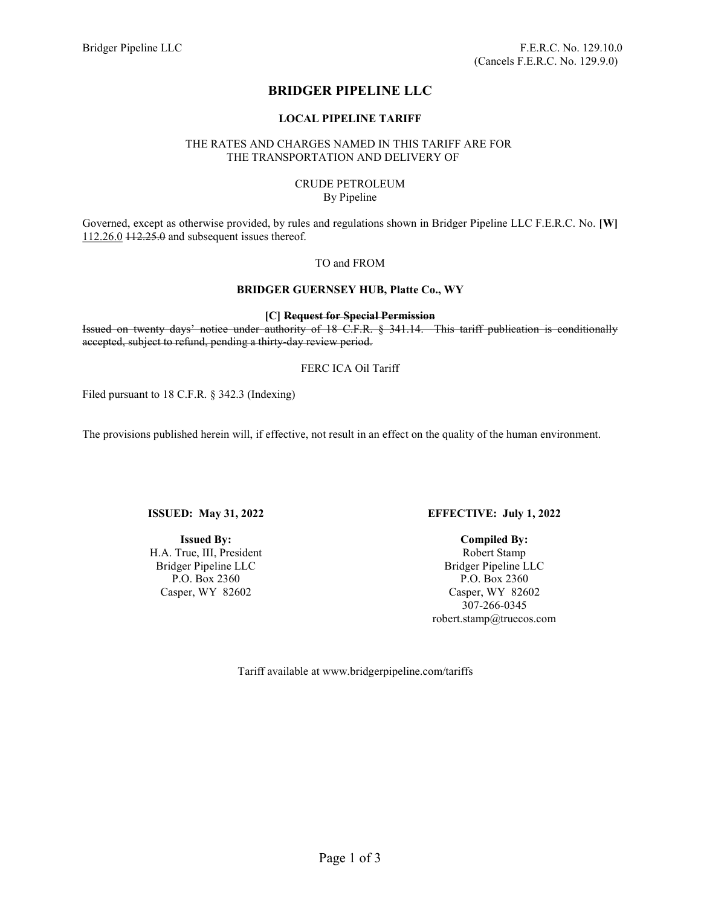# BRIDGER PIPELINE LLC

### LOCAL PIPELINE TARIFF

# THE RATES AND CHARGES NAMED IN THIS TARIFF ARE FOR THE TRANSPORTATION AND DELIVERY OF

#### CRUDE PETROLEUM By Pipeline

Governed, except as otherwise provided, by rules and regulations shown in Bridger Pipeline LLC F.E.R.C. No. [W] 112.26.0 112.25.0 and subsequent issues thereof.

### TO and FROM

# BRIDGER GUERNSEY HUB, Platte Co., WY

[C] Request for Special Permission

Issued on twenty days' notice under authority of 18 C.F.R. § 341.14. This tariff publication is conditionally accepted, subject to refund, pending a thirty-day review period.

# FERC ICA Oil Tariff

Filed pursuant to 18 C.F.R. § 342.3 (Indexing)

The provisions published herein will, if effective, not result in an effect on the quality of the human environment.

ISSUED: May 31, 2022

Issued By: H.A. True, III, President Bridger Pipeline LLC P.O. Box 2360 Casper, WY 82602

# EFFECTIVE: July 1, 2022

Compiled By: Robert Stamp Bridger Pipeline LLC P.O. Box 2360 Casper, WY 82602 307-266-0345 robert.stamp@truecos.com

Tariff available at www.bridgerpipeline.com/tariffs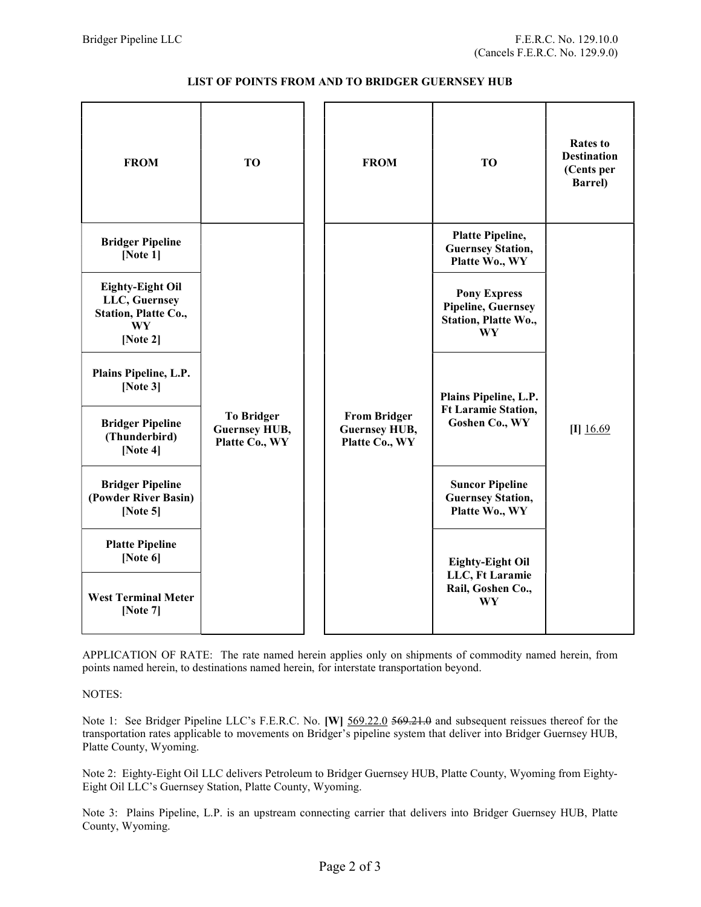| <b>FROM</b>                                                                                  | <b>TO</b>                                                   |  | <b>FROM</b>                                                   | <b>TO</b>                                                                      | <b>Rates to</b><br><b>Destination</b><br>(Cents per<br><b>Barrel</b> ) |
|----------------------------------------------------------------------------------------------|-------------------------------------------------------------|--|---------------------------------------------------------------|--------------------------------------------------------------------------------|------------------------------------------------------------------------|
| <b>Bridger Pipeline</b><br>[Note $1$ ]                                                       |                                                             |  |                                                               | <b>Platte Pipeline,</b><br><b>Guernsey Station,</b><br>Platte Wo., WY          |                                                                        |
| <b>Eighty-Eight Oil</b><br>LLC, Guernsey<br>Station, Platte Co.,<br><b>WY</b><br>[Note $2$ ] |                                                             |  |                                                               | <b>Pony Express</b><br><b>Pipeline, Guernsey</b><br>Station, Platte Wo.,<br>WY |                                                                        |
| Plains Pipeline, L.P.<br>[Note $3$ ]                                                         |                                                             |  | Plains Pipeline, L.P.                                         |                                                                                |                                                                        |
| <b>Bridger Pipeline</b><br>(Thunderbird)<br>[Note $4$ ]                                      | <b>To Bridger</b><br><b>Guernsey HUB,</b><br>Platte Co., WY |  | <b>From Bridger</b><br><b>Guernsey HUB,</b><br>Platte Co., WY | <b>Ft Laramie Station,</b><br><b>Goshen Co., WY</b>                            | $[I]$ 16.69                                                            |
| <b>Bridger Pipeline</b><br>(Powder River Basin)<br>[Note $5$ ]                               |                                                             |  |                                                               | <b>Suncor Pipeline</b><br><b>Guernsey Station,</b><br>Platte Wo., WY           |                                                                        |
| <b>Platte Pipeline</b><br>[Note $6$ ]                                                        |                                                             |  | <b>Eighty-Eight Oil</b>                                       |                                                                                |                                                                        |
| <b>West Terminal Meter</b><br>[Note $7$ ]                                                    |                                                             |  |                                                               | LLC, Ft Laramie<br>Rail, Goshen Co.,<br>WY                                     |                                                                        |

APPLICATION OF RATE: The rate named herein applies only on shipments of commodity named herein, from points named herein, to destinations named herein, for interstate transportation beyond.

NOTES:

Note 1: See Bridger Pipeline LLC's F.E.R.C. No. [W]  $\frac{569.22.0}{569.22.0}$  569.21.0 and subsequent reissues thereof for the transportation rates applicable to movements on Bridger's pipeline system that deliver into Bridger Guernsey HUB, Platte County, Wyoming.

Note 2: Eighty-Eight Oil LLC delivers Petroleum to Bridger Guernsey HUB, Platte County, Wyoming from Eighty-Eight Oil LLC's Guernsey Station, Platte County, Wyoming.

Note 3: Plains Pipeline, L.P. is an upstream connecting carrier that delivers into Bridger Guernsey HUB, Platte County, Wyoming.